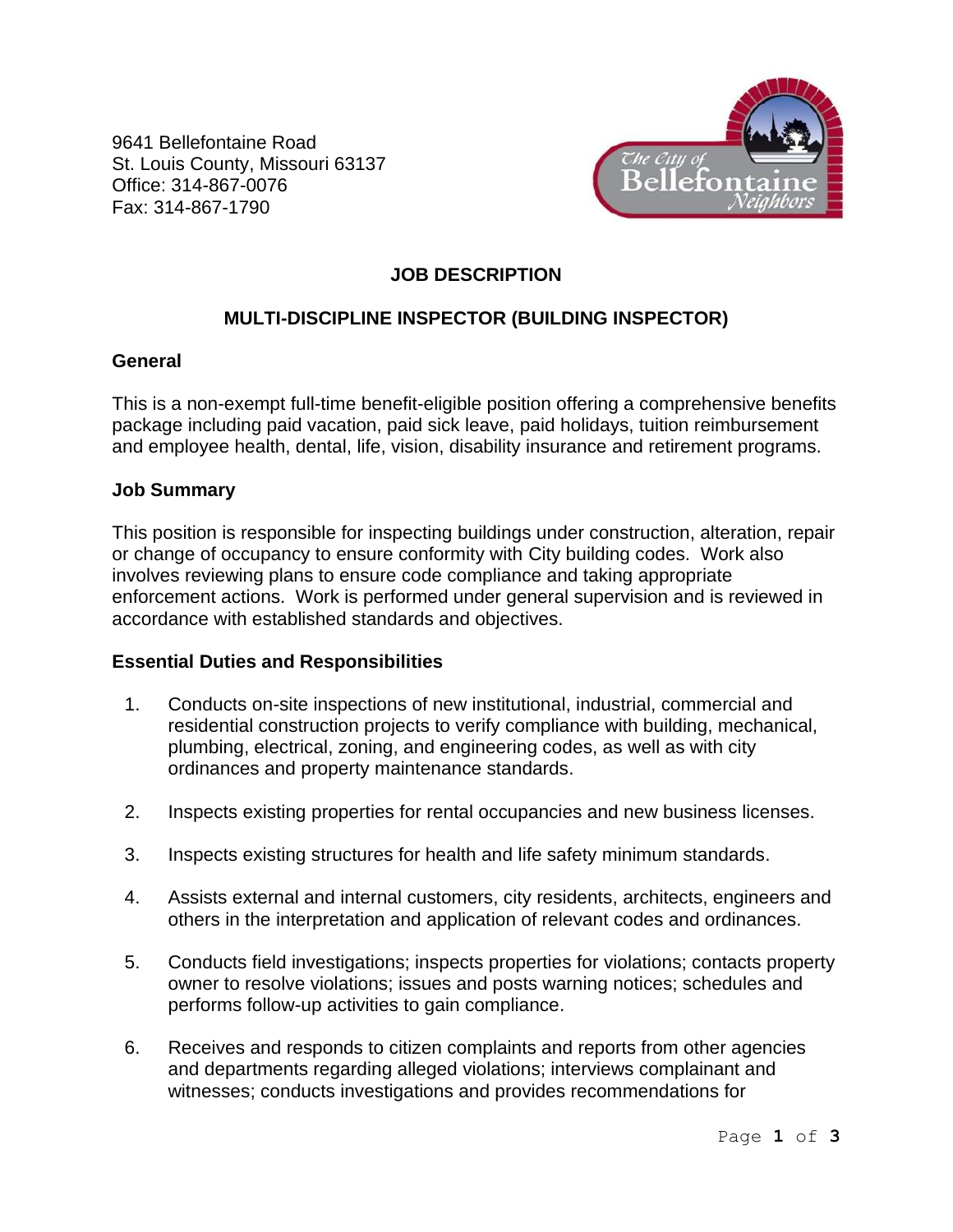9641 Bellefontaine Road St. Louis County, Missouri 63137 Office: 314-867-0076 Fax: 314-867-1790



## **JOB DESCRIPTION**

# **MULTI-DISCIPLINE INSPECTOR (BUILDING INSPECTOR)**

### **General**

This is a non-exempt full-time benefit-eligible position offering a comprehensive benefits package including paid vacation, paid sick leave, paid holidays, tuition reimbursement and employee health, dental, life, vision, disability insurance and retirement programs.

#### **Job Summary**

This position is responsible for inspecting buildings under construction, alteration, repair or change of occupancy to ensure conformity with City building codes. Work also involves reviewing plans to ensure code compliance and taking appropriate enforcement actions. Work is performed under general supervision and is reviewed in accordance with established standards and objectives.

### **Essential Duties and Responsibilities**

- 1. Conducts on-site inspections of new institutional, industrial, commercial and residential construction projects to verify compliance with building, mechanical, plumbing, electrical, zoning, and engineering codes, as well as with city ordinances and property maintenance standards.
- 2. Inspects existing properties for rental occupancies and new business licenses.
- 3. Inspects existing structures for health and life safety minimum standards.
- 4. Assists external and internal customers, city residents, architects, engineers and others in the interpretation and application of relevant codes and ordinances.
- 5. Conducts field investigations; inspects properties for violations; contacts property owner to resolve violations; issues and posts warning notices; schedules and performs follow-up activities to gain compliance.
- 6. Receives and responds to citizen complaints and reports from other agencies and departments regarding alleged violations; interviews complainant and witnesses; conducts investigations and provides recommendations for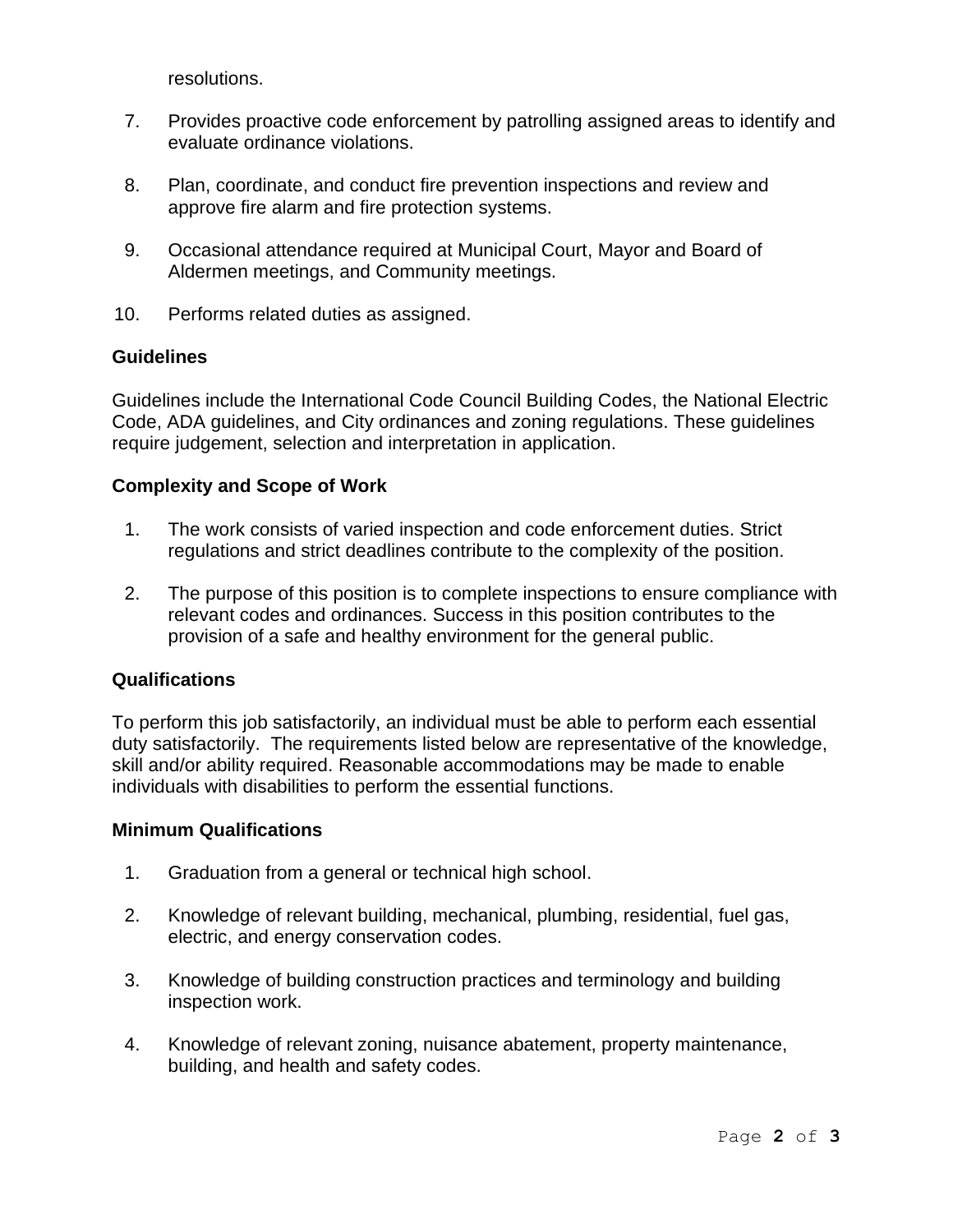resolutions.

- 7. Provides proactive code enforcement by patrolling assigned areas to identify and evaluate ordinance violations.
- 8. Plan, coordinate, and conduct fire prevention inspections and review and approve fire alarm and fire protection systems.
- 9. Occasional attendance required at Municipal Court, Mayor and Board of Aldermen meetings, and Community meetings.
- 10. Performs related duties as assigned.

### **Guidelines**

Guidelines include the International Code Council Building Codes, the National Electric Code, ADA guidelines, and City ordinances and zoning regulations. These guidelines require judgement, selection and interpretation in application.

### **Complexity and Scope of Work**

- 1. The work consists of varied inspection and code enforcement duties. Strict regulations and strict deadlines contribute to the complexity of the position.
- 2. The purpose of this position is to complete inspections to ensure compliance with relevant codes and ordinances. Success in this position contributes to the provision of a safe and healthy environment for the general public.

### **Qualifications**

To perform this job satisfactorily, an individual must be able to perform each essential duty satisfactorily. The requirements listed below are representative of the knowledge, skill and/or ability required. Reasonable accommodations may be made to enable individuals with disabilities to perform the essential functions.

### **Minimum Qualifications**

- 1. Graduation from a general or technical high school.
- 2. Knowledge of relevant building, mechanical, plumbing, residential, fuel gas, electric, and energy conservation codes.
- 3. Knowledge of building construction practices and terminology and building inspection work.
- 4. Knowledge of relevant zoning, nuisance abatement, property maintenance, building, and health and safety codes.